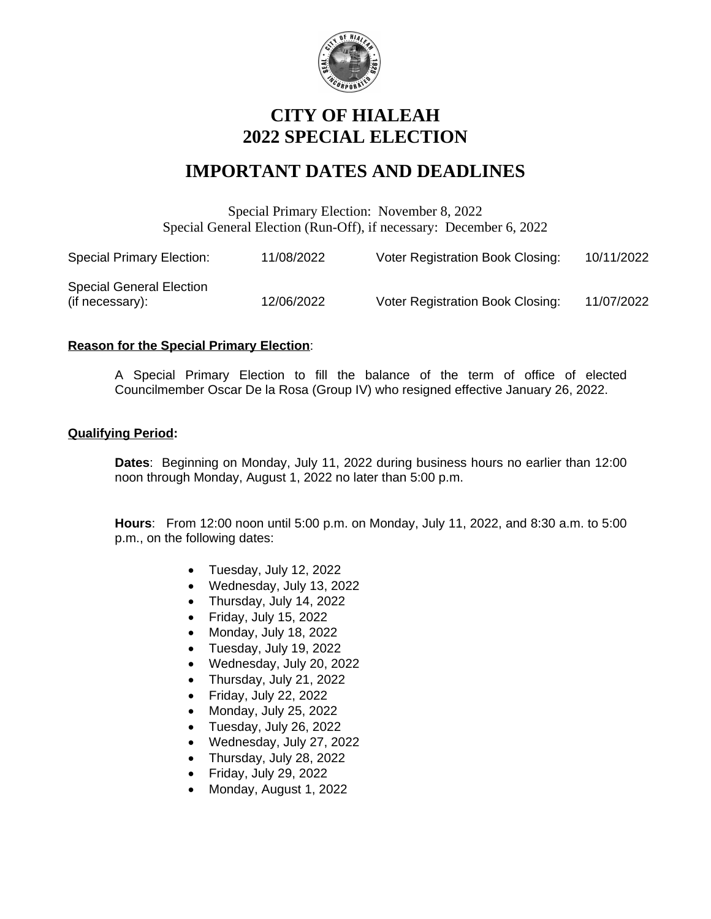

## **CITY OF HIALEAH 2022 SPECIAL ELECTION**

# **IMPORTANT DATES AND DEADLINES**

Special Primary Election: November 8, 2022 Special General Election (Run-Off), if necessary: December 6, 2022

| <b>Special Primary Election:</b>                   | 11/08/2022 | <b>Voter Registration Book Closing:</b> | 10/11/2022 |
|----------------------------------------------------|------------|-----------------------------------------|------------|
| <b>Special General Election</b><br>(if necessary): | 12/06/2022 | <b>Voter Registration Book Closing:</b> | 11/07/2022 |

#### **Reason for the Special Primary Election**:

A Special Primary Election to fill the balance of the term of office of elected Councilmember Oscar De la Rosa (Group IV) who resigned effective January 26, 2022.

#### **Qualifying Period:**

**Dates**: Beginning on Monday, July 11, 2022 during business hours no earlier than 12:00 noon through Monday, August 1, 2022 no later than 5:00 p.m.

**Hours**: From 12:00 noon until 5:00 p.m. on Monday, July 11, 2022, and 8:30 a.m. to 5:00 p.m., on the following dates:

- Tuesday, July 12, 2022
- Wednesday, July 13, 2022
- Thursday, July 14, 2022
- Friday, July 15, 2022
- Monday, July 18, 2022
- Tuesday, July 19, 2022
- Wednesday, July 20, 2022
- Thursday, July 21, 2022
- Friday, July 22, 2022
- Monday, July 25, 2022
- Tuesday, July 26, 2022
- Wednesday, July 27, 2022
- Thursday, July 28, 2022
- Friday, July 29, 2022
- Monday, August 1, 2022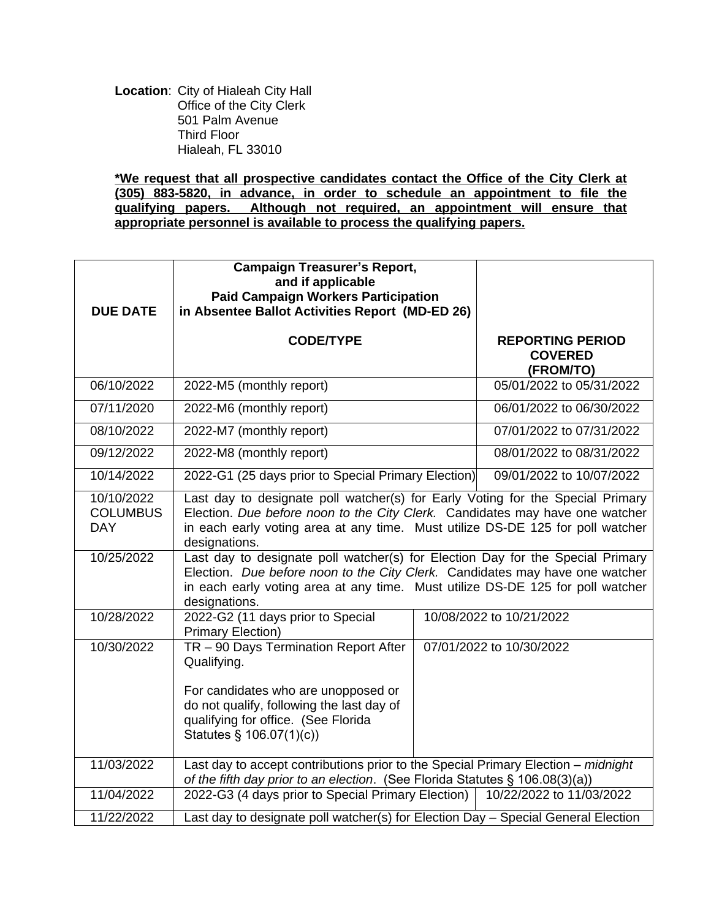**Location**: City of Hialeah City Hall Office of the City Clerk 501 Palm Avenue Third Floor Hialeah, FL 33010

**\*We request that all prospective candidates contact the Office of the City Clerk at (305) 883-5820, in advance, in order to schedule an appointment to file the qualifying papers. Although not required, an appointment will ensure that appropriate personnel is available to process the qualifying papers.**

| <b>DUE DATE</b>                             | <b>Campaign Treasurer's Report,</b><br>and if applicable<br><b>Paid Campaign Workers Participation</b><br>in Absentee Ballot Activities Report (MD-ED 26)                                                                                                         |  |                                                        |  |  |
|---------------------------------------------|-------------------------------------------------------------------------------------------------------------------------------------------------------------------------------------------------------------------------------------------------------------------|--|--------------------------------------------------------|--|--|
|                                             | <b>CODE/TYPE</b>                                                                                                                                                                                                                                                  |  | <b>REPORTING PERIOD</b><br><b>COVERED</b><br>(FROM/TO) |  |  |
| 06/10/2022                                  | 2022-M5 (monthly report)                                                                                                                                                                                                                                          |  | 05/01/2022 to 05/31/2022                               |  |  |
| 07/11/2020                                  | 2022-M6 (monthly report)                                                                                                                                                                                                                                          |  | 06/01/2022 to 06/30/2022                               |  |  |
| 08/10/2022                                  | 2022-M7 (monthly report)                                                                                                                                                                                                                                          |  | 07/01/2022 to 07/31/2022                               |  |  |
| 09/12/2022                                  | 2022-M8 (monthly report)                                                                                                                                                                                                                                          |  | 08/01/2022 to 08/31/2022                               |  |  |
| 10/14/2022                                  | 2022-G1 (25 days prior to Special Primary Election)                                                                                                                                                                                                               |  | 09/01/2022 to 10/07/2022                               |  |  |
| 10/10/2022<br><b>COLUMBUS</b><br><b>DAY</b> | Last day to designate poll watcher(s) for Early Voting for the Special Primary<br>Election. Due before noon to the City Clerk. Candidates may have one watcher<br>in each early voting area at any time. Must utilize DS-DE 125 for poll watcher<br>designations. |  |                                                        |  |  |
| 10/25/2022                                  | Last day to designate poll watcher(s) for Election Day for the Special Primary<br>Election. Due before noon to the City Clerk. Candidates may have one watcher<br>in each early voting area at any time. Must utilize DS-DE 125 for poll watcher<br>designations. |  |                                                        |  |  |
| 10/28/2022                                  | 2022-G2 (11 days prior to Special<br><b>Primary Election)</b>                                                                                                                                                                                                     |  | 10/08/2022 to 10/21/2022                               |  |  |
| 10/30/2022                                  | TR - 90 Days Termination Report After<br>Qualifying.<br>For candidates who are unopposed or<br>do not qualify, following the last day of<br>qualifying for office. (See Florida<br>Statutes § 106.07(1)(c))                                                       |  | 07/01/2022 to 10/30/2022                               |  |  |
| 11/03/2022                                  | Last day to accept contributions prior to the Special Primary Election - midnight<br>of the fifth day prior to an election. (See Florida Statutes § 106.08(3)(a))                                                                                                 |  |                                                        |  |  |
| 11/04/2022                                  | 2022-G3 (4 days prior to Special Primary Election)<br>10/22/2022 to 11/03/2022                                                                                                                                                                                    |  |                                                        |  |  |
| 11/22/2022                                  | Last day to designate poll watcher(s) for Election Day - Special General Election                                                                                                                                                                                 |  |                                                        |  |  |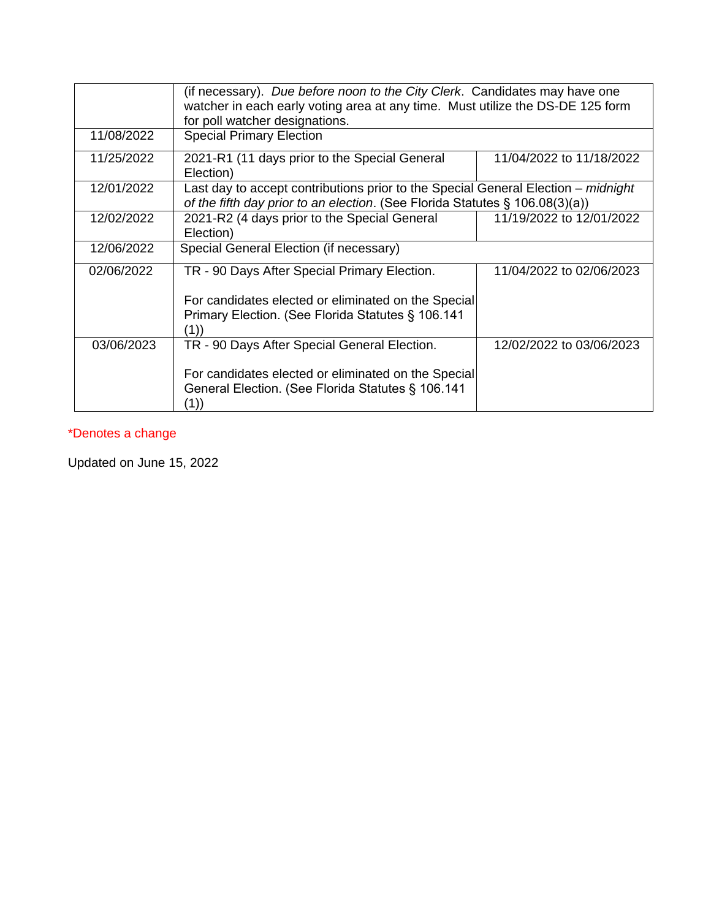|            | (if necessary). Due before noon to the City Clerk. Candidates may have one<br>watcher in each early voting area at any time. Must utilize the DS-DE 125 form<br>for poll watcher designations. |                          |  |  |
|------------|------------------------------------------------------------------------------------------------------------------------------------------------------------------------------------------------|--------------------------|--|--|
| 11/08/2022 | <b>Special Primary Election</b>                                                                                                                                                                |                          |  |  |
| 11/25/2022 | 2021-R1 (11 days prior to the Special General<br>Election)                                                                                                                                     | 11/04/2022 to 11/18/2022 |  |  |
| 12/01/2022 | Last day to accept contributions prior to the Special General Election – midnight<br>of the fifth day prior to an election. (See Florida Statutes § 106.08(3)(a))                              |                          |  |  |
| 12/02/2022 | 2021-R2 (4 days prior to the Special General<br>Election)                                                                                                                                      | 11/19/2022 to 12/01/2022 |  |  |
| 12/06/2022 | Special General Election (if necessary)                                                                                                                                                        |                          |  |  |
| 02/06/2022 | TR - 90 Days After Special Primary Election.                                                                                                                                                   | 11/04/2022 to 02/06/2023 |  |  |
|            | For candidates elected or eliminated on the Special                                                                                                                                            |                          |  |  |
|            | Primary Election. (See Florida Statutes § 106.141<br>(1))                                                                                                                                      |                          |  |  |
| 03/06/2023 | TR - 90 Days After Special General Election.                                                                                                                                                   | 12/02/2022 to 03/06/2023 |  |  |
|            | For candidates elected or eliminated on the Special                                                                                                                                            |                          |  |  |
|            | General Election. (See Florida Statutes § 106.141<br>(1))                                                                                                                                      |                          |  |  |

## \*Denotes a change

Updated on June 15, 2022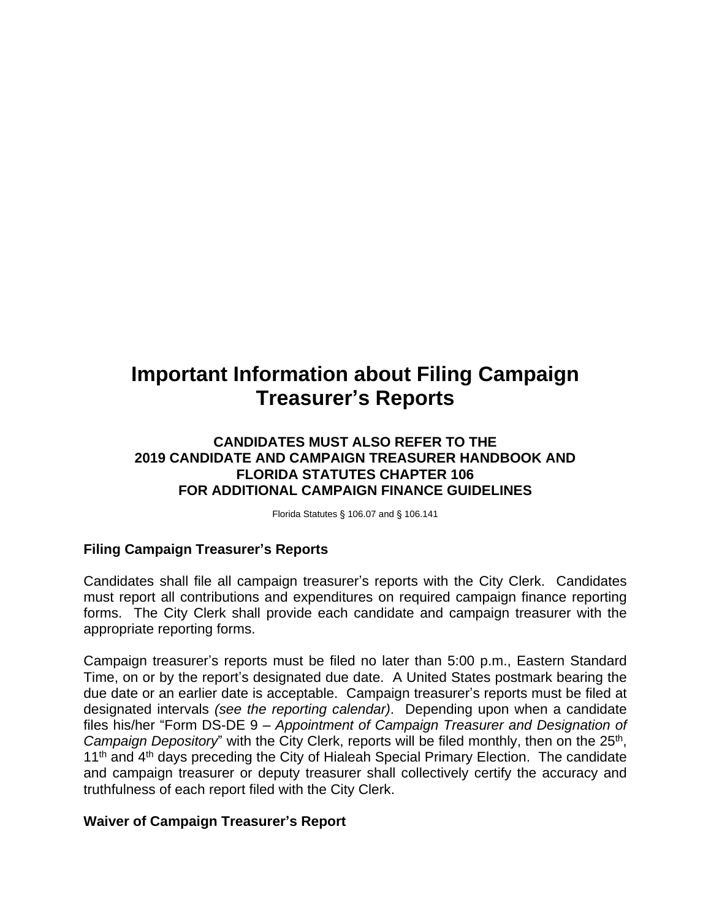# **Important Information about Filing Campaign Treasurer's Reports**

### **CANDIDATES MUST ALSO REFER TO THE 2019 CANDIDATE AND CAMPAIGN TREASURER HANDBOOK AND FLORIDA STATUTES CHAPTER 106 FOR ADDITIONAL CAMPAIGN FINANCE GUIDELINES**

Florida Statutes § 106.07 and § 106.141

## **Filing Campaign Treasurer's Reports**

Candidates shall file all campaign treasurer's reports with the City Clerk. Candidates must report all contributions and expenditures on required campaign finance reporting forms. The City Clerk shall provide each candidate and campaign treasurer with the appropriate reporting forms.

Campaign treasurer's reports must be filed no later than 5:00 p.m., Eastern Standard Time, on or by the report's designated due date. A United States postmark bearing the due date or an earlier date is acceptable. Campaign treasurer's reports must be filed at designated intervals *(see the reporting calendar)*. Depending upon when a candidate files his/her "Form DS-DE 9 – *Appointment of Campaign Treasurer and Designation of* Campaign Depository" with the City Clerk, reports will be filed monthly, then on the 25<sup>th</sup>, 11<sup>th</sup> and 4<sup>th</sup> days preceding the City of Hialeah Special Primary Election. The candidate and campaign treasurer or deputy treasurer shall collectively certify the accuracy and truthfulness of each report filed with the City Clerk.

#### **Waiver of Campaign Treasurer's Report**